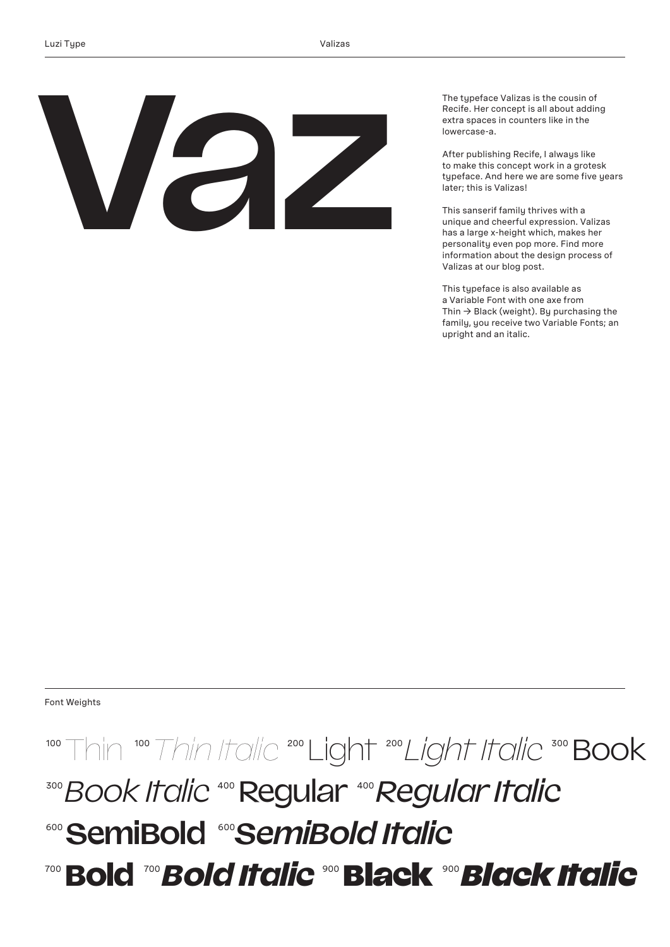**Vaz**

The typeface Valizas is the cousin of Recife. Her concept is all about adding extra spaces in counters like in the lowercase-a.

After publishing Recife, I always like to make this concept work in a grotesk typeface. And here we are some five years later; this is Valizas!

This sanserif family thrives with a unique and cheerful expression. Valizas has a large x-height which, makes her personality even pop more. Find more information about the design process of Valizas at our blog post.

This typeface is also available as a Variable Font with one axe from Thin  $\rightarrow$  Black (weight). By purchasing the family, you receive two Variable Fonts; an upright and an italic.

Font Weights

#### 100 Thin <sup>100</sup> Thin Italic <sup>200</sup> Light <sup>200</sup> Light Italic <sup>300</sup> Book **300** Book Italic 400 Regular 400 Regular Italic <sup>600</sup>**SemiBold** <sup>600</sup>*SemiBold Italic* <sup>700</sup>**Bold** <sup>700</sup>*Bold Italic* <sup>900</sup>Black <sup>900</sup>*Black Italic*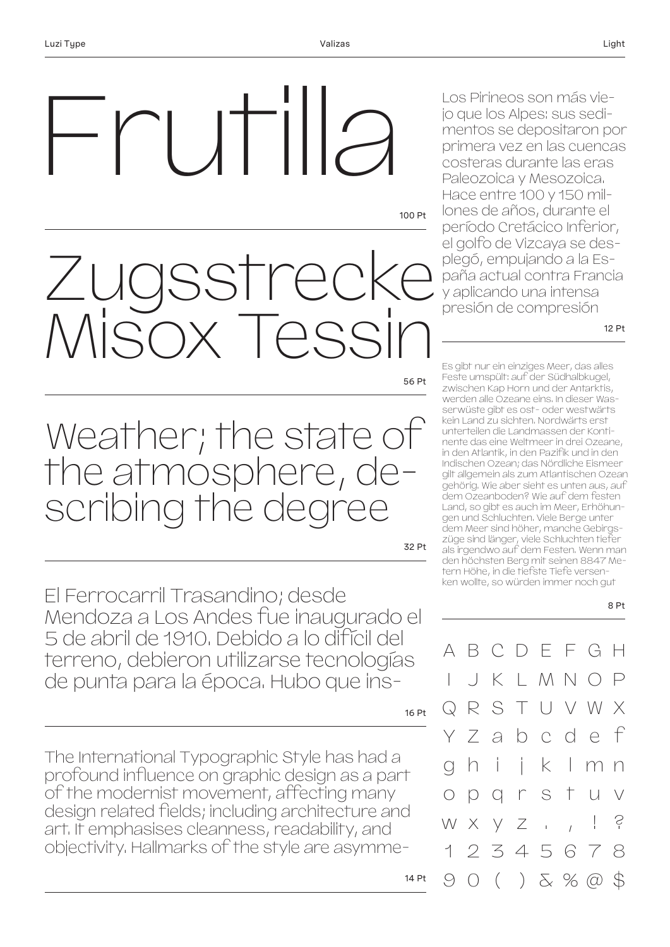# $|$   $|$   $|$   $|$   $|$   $|$   $|$

100 Pt

56 Pt

Zugsstrecke Misox Tessin

Weather; the state of the atmosphere, describing the degree

32 Pt

El Ferrocarril Trasandino; desde Mendoza a Los Andes fue inaugurado el 5 de abril de 1910. Debido a lo difícil del terreno, debieron utilizarse tecnologías de punta para la época. Hubo que ins-

16 Pt

The International Typographic Style has had a profound influence on graphic design as a part of the modernist movement, affecting many design related fields; including architecture and art. It emphasises cleanness, readability, and objectivity. Hallmarks of the style are asymme-

Los Pirineos son más viejo que los Alpes: sus sedimentos se depositaron por primera vez en las cuencas costeras durante las eras Paleozoica y Mesozoica. Hace entre 100 y 150 millones de años, durante el período Cretácico Inferior, el golfo de Vizcaya se desplegó, empujando a la España actual contra Francia y aplicando una intensa presión de compresión

12 Pt

8 Pt

Es gibt nur ein einziges Meer, das alles Feste umspült: auf der Südhalbkugel, zwischen Kap Horn und der Antarktis, werden alle Ozeane eins. In dieser Wasserwüste gibt es ost- oder westwärts kein Land zu sichten. Nordwärts erst unterteilen die Landmassen der Kontinente das eine Weltmeer in drei Ozeane, in den Atlantik, in den Pazifik und in den Indischen Ozean; das Nördliche Eismeer gilt allgemein als zum Atlantischen Ozean gehörig. Wie aber sieht es unten aus, auf dem Ozeanboden? Wie auf dem festen Land, so gibt es auch im Meer, Erhöhungen und Schluchten. Viele Berge unter dem Meer sind höher, manche Gebirgszüge sind länger, viele Schluchten tiefer als irgendwo auf dem Festen. Wenn man den höchsten Berg mit seinen 8847 Metern Höhe, in die tiefste Tiefe versenken wollte, so würden immer noch gut

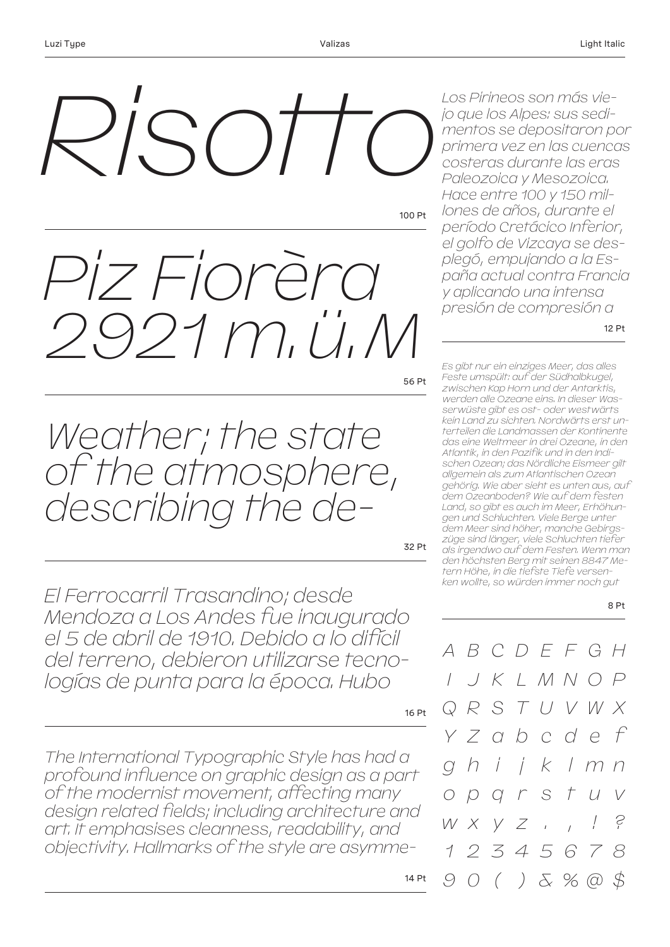

100 Pt

56 Pt *Piz Fiorèra 2921 m.ü.M* 

*Weather; the state of the atmosphere, describing the de-*

32 Pt

*El Ferrocarril Trasandino; desde Mendoza a Los Andes fue inaugurado el 5 de abril de 1910. Debido a lo difícil del terreno, debieron utilizarse tecnologías de punta para la época. Hubo* 

16 Pt

14 Pt

*The International Typographic Style has had a profound influence on graphic design as a part of the modernist movement, affecting many design related fields; including architecture and art. It emphasises cleanness, readability, and objectivity. Hallmarks of the style are asymme-* *Los Pirineos son más viejo que los Alpes: sus sedimentos se depositaron por primera vez en las cuencas costeras durante las eras Paleozoica y Mesozoica. Hace entre 100 y 150 millones de años, durante el período Cretácico Inferior, el golfo de Vizcaya se desplegó, empujando a la España actual contra Francia y aplicando una intensa presión de compresión a* 

12 Pt

*Es gibt nur ein einziges Meer, das alles Feste umspült: auf der Südhalbkugel, zwischen Kap Horn und der Antarktis, werden alle Ozeane eins. In dieser Wasserwüste gibt es ost- oder westwärts kein Land zu sichten. Nordwärts erst unterteilen die Landmassen der Kontinente das eine Weltmeer in drei Ozeane, in den Atlantik, in den Pazifik und in den Indischen Ozean; das Nördliche Eismeer gilt allgemein als zum Atlantischen Ozean gehörig. Wie aber sieht es unten aus, auf dem Ozeanboden? Wie auf dem festen Land, so gibt es auch im Meer, Erhöhungen und Schluchten. Viele Berge unter dem Meer sind höher, manche Gebirgszüge sind länger, viele Schluchten tiefer als irgendwo auf dem Festen. Wenn man den höchsten Berg mit seinen 8847 Metern Höhe, in die tiefste Tiefe versenken wollte, so würden immer noch gut* 

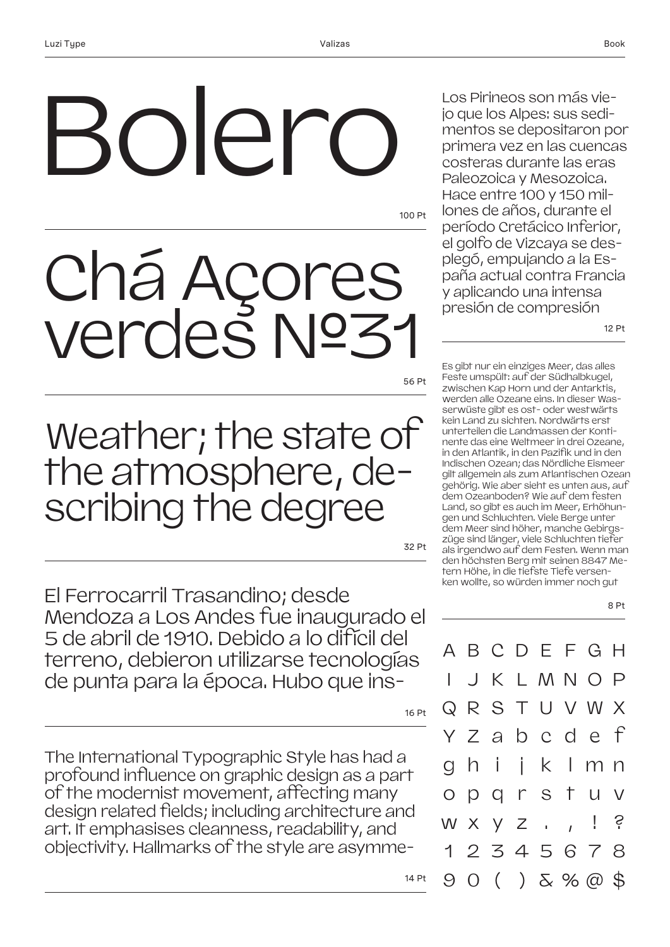## oler

100 Pt

## Chá Açores verdes №31

56 Pt

### Weather; the state of the atmosphere, describing the degree

32 Pt

El Ferrocarril Trasandino; desde Mendoza a Los Andes fue inaugurado el 5 de abril de 1910. Debido a lo difícil del terreno, debieron utilizarse tecnologías de punta para la época. Hubo que ins-

16 Pt

14 Pt

The International Typographic Style has had a profound influence on graphic design as a part of the modernist movement, affecting many design related fields; including architecture and art. It emphasises cleanness, readability, and objectivity. Hallmarks of the style are asymmeLos Pirineos son más viejo que los Alpes: sus sedimentos se depositaron por primera vez en las cuencas costeras durante las eras Paleozoica y Mesozoica. Hace entre 100 y 150 millones de años, durante el período Cretácico Inferior, el golfo de Vizcaya se desplegó, empujando a la España actual contra Francia y aplicando una intensa presión de compresión

12 Pt

8 Pt

Es gibt nur ein einziges Meer, das alles Feste umspült: auf der Südhalbkugel, zwischen Kap Horn und der Antarktis, werden alle Ozeane eins. In dieser Wasserwüste gibt es ost- oder westwärts kein Land zu sichten. Nordwärts erst unterteilen die Landmassen der Kontinente das eine Weltmeer in drei Ozeane, in den Atlantik, in den Pazifik und in den Indischen Ozean; das Nördliche Eismeer gilt allgemein als zum Atlantischen Ozean gehörig. Wie aber sieht es unten aus, auf dem Ozeanboden? Wie auf dem festen Land, so gibt es auch im Meer, Erhöhungen und Schluchten. Viele Berge unter dem Meer sind höher, manche Gebirgszüge sind länger, viele Schluchten tiefer als irgendwo auf dem Festen. Wenn man den höchsten Berg mit seinen 8847 Metern Höhe, in die tiefste Tiefe versenken wollte, so würden immer noch gut

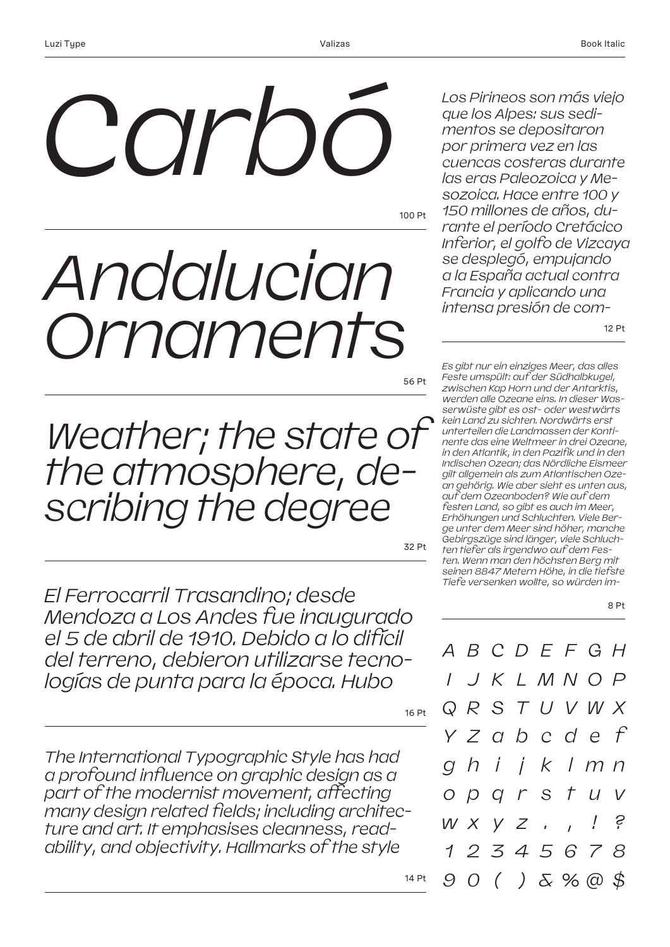## *Carbó*

100 Pt

## *Andalucian Ornaments*

56 Pt

*Weather; the state of the atmosphere, describing the degree* 

32 Pt

*El Ferrocarril Trasandino; desde Mendoza a Los Andes fue inaugurado el 5 de abril de 1910. Debido a lo difícil del terreno, debieron utilizarse tecnologías de punta para la época. Hubo* 

16 Pt

14 Pt

*The International Typographic Style has had a profound influence on graphic design as a part of the modernist movement, affecting many design related fields; including architecture and art. It emphasises cleanness, readability, and objectivity. Hallmarks of the style* 

12 Pt *sozoica. Hace entre 100 y 150 millones de años, durante el período Cretácico Inferior, el golfo de Vizcaya se desplegó, empujando a la España actual contra Francia y aplicando una intensa presión de com-Es gibt nur ein einziges Meer, das alles Feste umspült: auf der Südhalbkugel, zwischen Kap Horn und der Antarktis, werden alle Ozeane eins. In dieser Wasserwüste gibt es ost- oder westwärts kein Land zu sichten. Nordwärts erst unterteilen die Landmassen der Kontinente das eine Weltmeer in drei Ozeane, in den Atlantik, in den Pazifik und in den Indischen Ozean; das Nördliche Eismeer gilt allgemein als zum Atlantischen Oze-*

*Los Pirineos son más viejo que los Alpes: sus sedimentos se depositaron por primera vez en las cuencas costeras durante las eras Paleozoica y Me-*

*an gehörig. Wie aber sieht es unten aus, auf dem Ozeanboden? Wie auf dem festen Land, so gibt es auch im Meer, Erhöhungen und Schluchten. Viele Berge unter dem Meer sind höher, manche Gebirgszüge sind länger, viele Schluchten tiefer als irgendwo auf dem Festen. Wenn man den höchsten Berg mit seinen 8847 Metern Höhe, in die tiefste Tiefe versenken wollte, so würden im-*

8 Pt

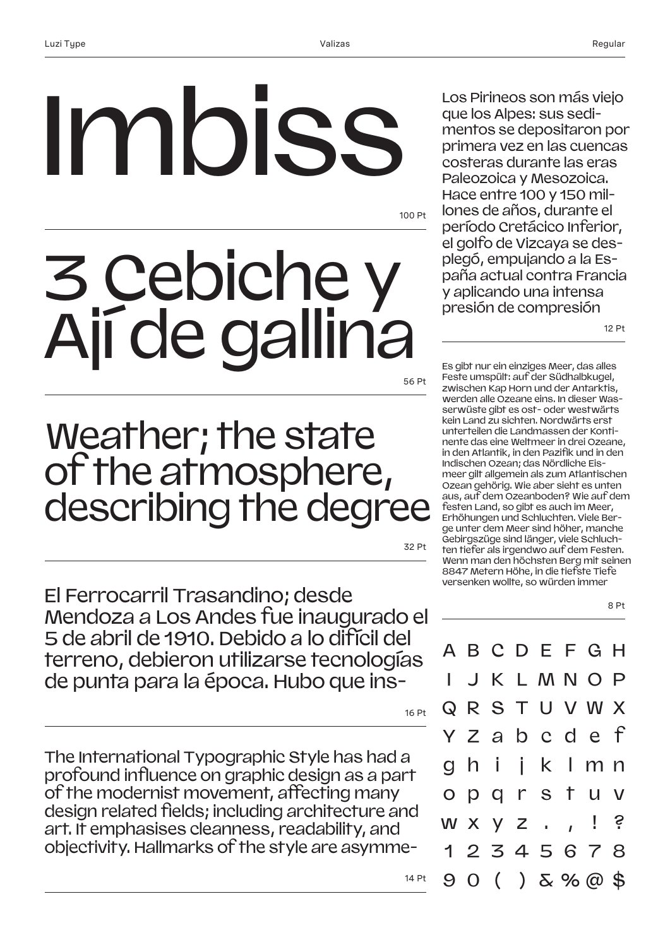# Imbiss

100 Pt

## 3 Cebiche y Ají de gallina

56 Pt

### Weather; the state of the atmosphere, describing the degree

32 Pt

El Ferrocarril Trasandino; desde Mendoza a Los Andes fue inaugurado el 5 de abril de 1910. Debido a lo difícil del terreno, debieron utilizarse tecnologías de punta para la época. Hubo que ins-

16 Pt

14 Pt

The International Typographic Style has had a profound influence on graphic design as a part of the modernist movement, affecting many design related fields; including architecture and art. It emphasises cleanness, readability, and objectivity. Hallmarks of the style are asymmeLos Pirineos son más viejo que los Alpes: sus sedimentos se depositaron por primera vez en las cuencas costeras durante las eras Paleozoica y Mesozoica. Hace entre 100 y 150 millones de años, durante el período Cretácico Inferior, el golfo de Vizcaya se desplegó, empujando a la España actual contra Francia y aplicando una intensa presión de compresión

12 Pt

8 Pt

Es gibt nur ein einziges Meer, das alles Feste umspült: auf der Südhalbkugel, zwischen Kap Horn und der Antarktis, werden alle Ozeane eins. In dieser Wasserwüste gibt es ost- oder westwärts kein Land zu sichten. Nordwärts erst unterteilen die Landmassen der Kontinente das eine Weltmeer in drei Ozeane, in den Atlantik, in den Pazifik und in den Indischen Ozean; das Nördliche Eismeer gilt allgemein als zum Atlantischen Ozean gehörig. Wie aber sieht es unten aus, auf dem Ozeanboden? Wie auf dem festen Land, so gibt es auch im Meer, Erhöhungen und Schluchten. Viele Berge unter dem Meer sind höher, manche Gebirgszüge sind länger, viele Schluchten tiefer als irgendwo auf dem Festen. Wenn man den höchsten Berg mit seinen 8847 Metern Höhe, in die tiefste Tiefe versenken wollte, so würden immer

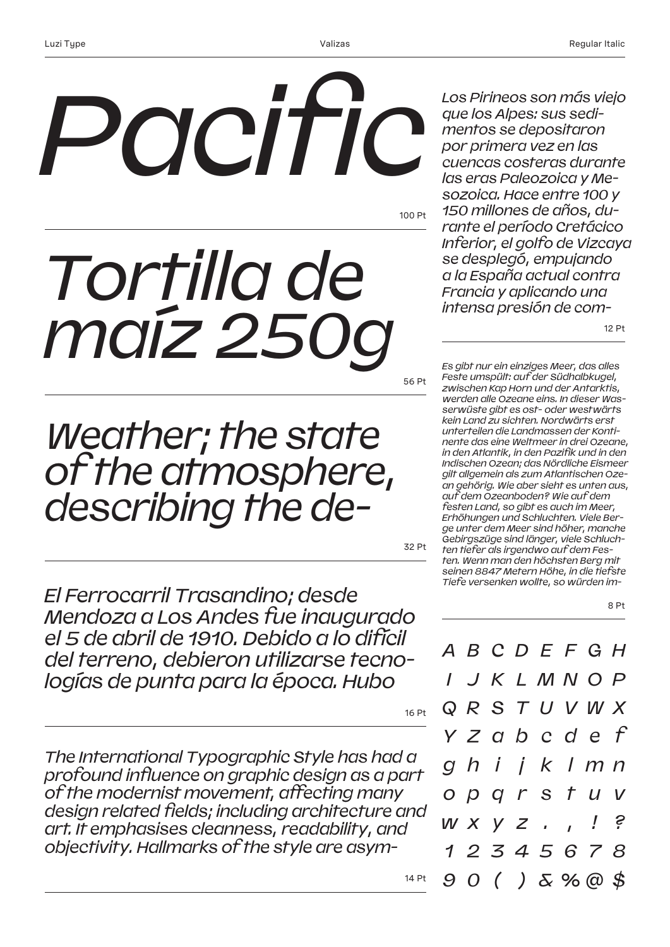# *Pacific*

100 Pt

## *Tortilla de maíz 250g*

56 Pt

*Weather; the state of the atmosphere, describing the de-*

32 Pt

16 Pt

14 Pt

*El Ferrocarril Trasandino; desde Mendoza a Los Andes fue inaugurado el 5 de abril de 1910. Debido a lo difícil del terreno, debieron utilizarse tecnologías de punta para la época. Hubo* 

*The International Typographic Style has had a profound influence on graphic design as a part of the modernist movement, affecting many design related fields; including architecture and art. It emphasises cleanness, readability, and objectivity. Hallmarks of the style are asym-*

12 Pt *Francia y aplicando una intensa presión de com-Es gibt nur ein einziges Meer, das alles Feste umspült: auf der Südhalbkugel, zwischen Kap Horn und der Antarktis, werden alle Ozeane eins. In dieser Wasserwüste gibt es ost- oder westwärts kein Land zu sichten. Nordwärts erst unterteilen die Landmassen der Kontinente das eine Weltmeer in drei Ozeane, in den Atlantik, in den Pazifik und in den Indischen Ozean; das Nördliche Eismeer gilt allgemein als zum Atlantischen Ozean gehörig. Wie aber sieht es unten aus, auf dem Ozeanboden? Wie auf dem festen Land, so gibt es auch im Meer, Erhöhungen und Schluchten. Viele Berge unter dem Meer sind höher, manche Gebirgszüge sind länger, viele Schluchten tiefer als irgendwo auf dem Festen. Wenn man den höchsten Berg mit seinen 8847 Metern Höhe, in die tiefste* 

8 Pt

*A B C D E F G H I J K L M N O P Q R S T U V W X Y Z a b c d e f g h i j k l m n o p q r s t u v w x y z . , ! ? 1 2 3 4 5 6 7 8 9 0 ( ) & % @ \$*

*Tiefe versenken wollte, so würden im-*

*Los Pirineos son más viejo que los Alpes: sus sedimentos se depositaron por primera vez en las cuencas costeras durante las eras Paleozoica y Mesozoica. Hace entre 100 y 150 millones de años, durante el período Cretácico Inferior, el golfo de Vizcaya se desplegó, empujando a la España actual contra*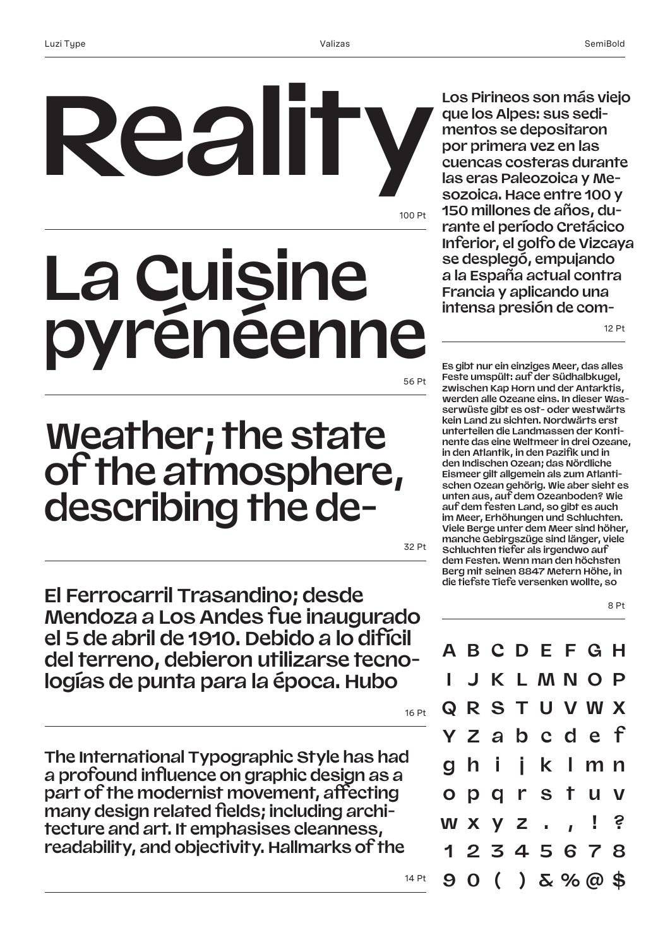## 100 Pt 56 Pt **Reality La Cuisine pyrénéenne**

### **Weather; the state of the atmosphere, describing the de-**

32 Pt

**El Ferrocarril Trasandino; desde Mendoza a Los Andes fue inaugurado el 5 de abril de 1910. Debido a lo difícil del terreno, debieron utilizarse tecnologías de punta para la época. Hubo** 

16 Pt

14 Pt

**The International Typographic Style has had a profound influence on graphic design as a part of the modernist movement, affecting many design related fields; including architecture and art. It emphasises cleanness, readability, and objectivity. Hallmarks of the** 

**Los Pirineos son más viejo que los Alpes: sus sedimentos se depositaron por primera vez en las cuencas costeras durante las eras Paleozoica y Mesozoica. Hace entre 100 y 150 millones de años, durante el período Cretácico Inferior, el golfo de Vizcaya se desplegó, empujando a la España actual contra Francia y aplicando una intensa presión de com-**

12 Pt

**Es gibt nur ein einziges Meer, das alles Feste umspült: auf der Südhalbkugel, zwischen Kap Horn und der Antarktis, werden alle Ozeane eins. In dieser Wasserwüste gibt es ost- oder westwärts kein Land zu sichten. Nordwärts erst unterteilen die Landmassen der Kontinente das eine Weltmeer in drei Ozeane, in den Atlantik, in den Pazifik und in den Indischen Ozean; das Nördliche Eismeer gilt allgemein als zum Atlantischen Ozean gehörig. Wie aber sieht es unten aus, auf dem Ozeanboden? Wie auf dem festen Land, so gibt es auch im Meer, Erhöhungen und Schluchten. Viele Berge unter dem Meer sind höher, manche Gebirgszüge sind länger, viele Schluchten tiefer als irgendwo auf dem Festen. Wenn man den höchsten Berg mit seinen 8847 Metern Höhe, in die tiefste Tiefe versenken wollte, so** 

8 Pt

|  |  | <b>ABCDEFGH</b>        |  |  |
|--|--|------------------------|--|--|
|  |  | <b>I J K L M N O P</b> |  |  |
|  |  | <b>QRSTUVWX</b>        |  |  |
|  |  | Y Z a b c d e f        |  |  |
|  |  | ghijklmn               |  |  |
|  |  | opgrstuv               |  |  |
|  |  | w x y z . , ! ?        |  |  |
|  |  | 12345678               |  |  |
|  |  | $90() \& \% @$ \$      |  |  |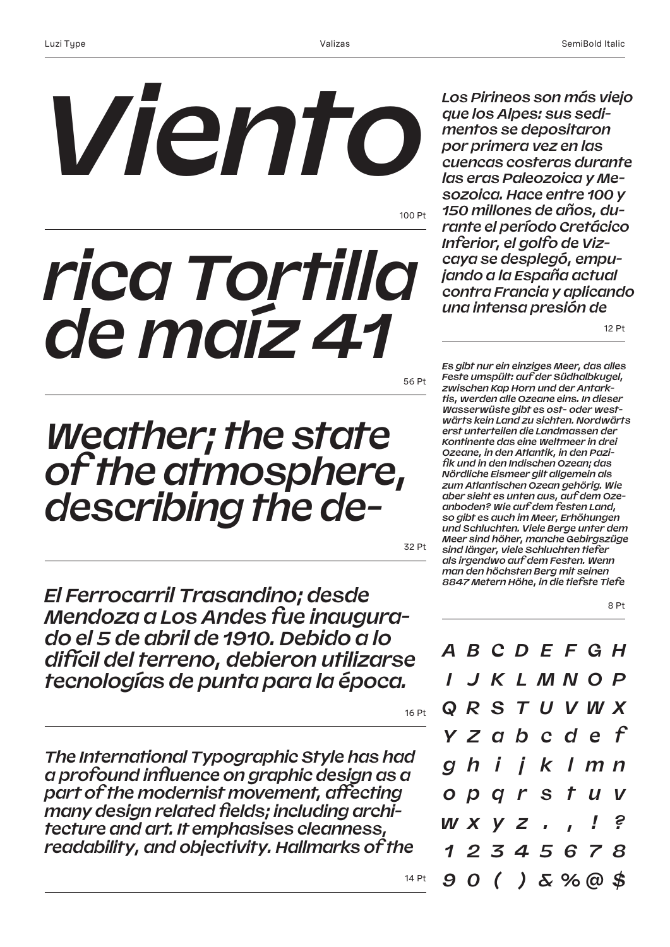# *Viento*

100 Pt

## *rica Tortilla de maíz 41*

56 Pt

### *Weather; the state of the atmosphere, describing the de-*

32 Pt

*El Ferrocarril Trasandino; desde Mendoza a Los Andes fue inaugurado el 5 de abril de 1910. Debido a lo difícil del terreno, debieron utilizarse tecnologías de punta para la época.* 

16 Pt

14 Pt

*The International Typographic Style has had a profound influence on graphic design as a part of the modernist movement, affecting many design related fields; including architecture and art. It emphasises cleanness, readability, and objectivity. Hallmarks of the* 

*Los Pirineos son más viejo que los Alpes: sus sedimentos se depositaron por primera vez en las cuencas costeras durante las eras Paleozoica y Mesozoica. Hace entre 100 y 150 millones de años, durante el período Cretácico Inferior, el golfo de Vizcaya se desplegó, empujando a la España actual contra Francia y aplicando una intensa presión de* 

12 Pt

*Es gibt nur ein einziges Meer, das alles Feste umspült: auf der Südhalbkugel, zwischen Kap Horn und der Antarktis, werden alle Ozeane eins. In dieser Wasserwüste gibt es ost- oder westwärts kein Land zu sichten. Nordwärts erst unterteilen die Landmassen der Kontinente das eine Weltmeer in drei Ozeane, in den Atlantik, in den Pazifik und in den Indischen Ozean; das Nördliche Eismeer gilt allgemein als zum Atlantischen Ozean gehörig. Wie aber sieht es unten aus, auf dem Ozeanboden? Wie auf dem festen Land, so gibt es auch im Meer, Erhöhungen und Schluchten. Viele Berge unter dem Meer sind höher, manche Gebirgszüge sind länger, viele Schluchten tiefer als irgendwo auf dem Festen. Wenn man den höchsten Berg mit seinen 8847 Metern Höhe, in die tiefste Tiefe* 



*A B C D E F G H I J K L M N O P Q R S T U V W X Y Z a b c d e f g h i j k l m n o p q r s t u v w x y z . , ! ? 1 2 3 4 5 6 7 8 9 0 ( ) & % @ \$*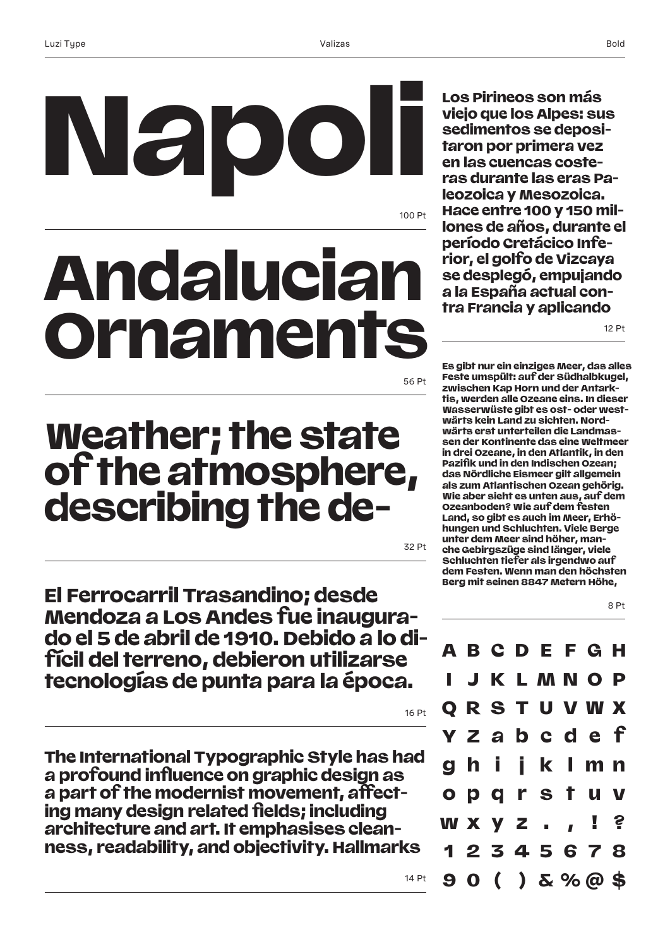**Napoli** 

**Los Pirineos son más viejo que los Alpes: sus sedimentos se depositaron por primera vez en las cuencas costeras durante las eras Paleozoica y Mesozoica. Hace entre 100 y 150 millones de años, durante el período Cretácico Inferior, el golfo de Vizcaya se desplegó, empujando a la España actual contra Francia y aplicando** 

12 Pt

#### 56 Pt

100 Pt

### **Weather; the state of the atmosphere, describing the de-**

**Andalucian** 

**Orname** 

32 Pt

**El Ferrocarril Trasandino; desde Mendoza a Los Andes fue inaugurado el 5 de abril de 1910. Debido a lo difícil del terreno, debieron utilizarse tecnologías de punta para la época.** 

**The International Typographic Style has had a profound influence on graphic design as a part of the modernist movement, affecting many design related fields; including architecture and art. It emphasises cleanness, readability, and objectivity. Hallmarks** 

**Es gibt nur ein einziges Meer, das alles Feste umspült: auf der Südhalbkugel, zwischen Kap Horn und der Antarktis, werden alle Ozeane eins. In dieser Wasserwüste gibt es ost- oder westwärts kein Land zu sichten. Nordwärts erst unterteilen die Landmassen der Kontinente das eine Weltmeer in drei Ozeane, in den Atlantik, in den Pazifik und in den Indischen Ozean; das Nördliche Eismeer gilt allgemein als zum Atlantischen Ozean gehörig. Wie aber sieht es unten aus, auf dem Ozeanboden? Wie auf dem festen Land, so gibt es auch im Meer, Erhöhungen und Schluchten. Viele Berge unter dem Meer sind höher, manche Gebirgszüge sind länger, viele Schluchten tiefer als irgendwo auf dem Festen. Wenn man den höchsten Berg mit seinen 8847 Metern Höhe,** 



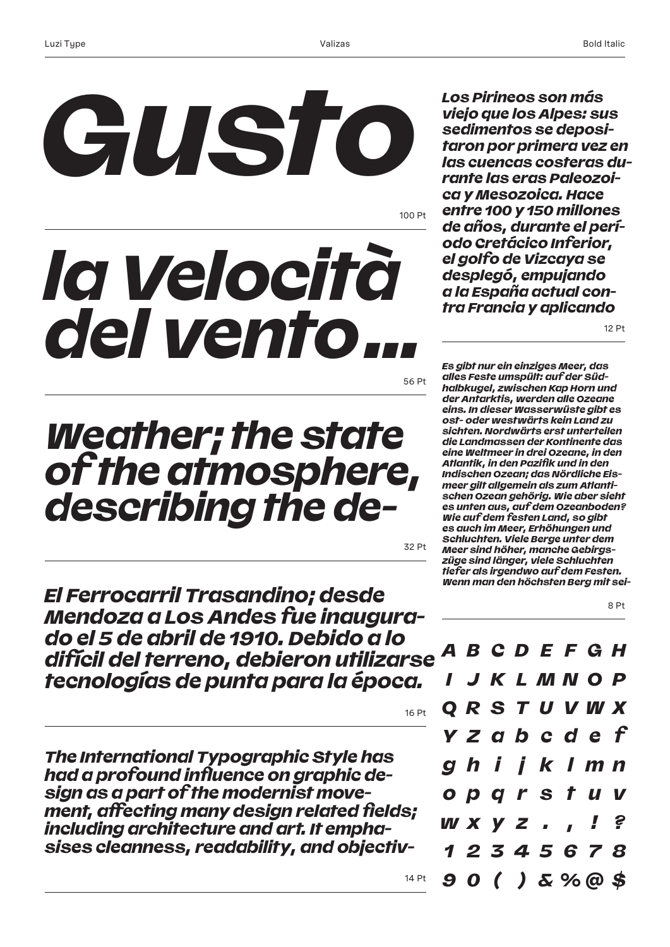

100 Pt

## *la Velocità del vento…*

56 Pt

### *Weather; the state of the atmosphere, describing the de-*

32 Pt

16 Pt

14 Pt

*El Ferrocarril Trasandino; desde Mendoza a Los Andes fue inaugurado el 5 de abril de 1910. Debido a lo difícil del terreno, debieron utilizarse tecnologías de punta para la época.* 

*The International Typographic Style has had a profound influence on graphic design as a part of the modernist movement, affecting many design related fields; including architecture and art. It emphasises cleanness, readability, and objectiv-* *Los Pirineos son más viejo que los Alpes: sus sedimentos se depositaron por primera vez en las cuencas costeras durante las eras Paleozoica y Mesozoica. Hace entre 100 y 150 millones de años, durante el período Cretácico Inferior, el golfo de Vizcaya se desplegó, empujando a la España actual contra Francia y aplicando* 

12 Pt

8 Pt

*Es gibt nur ein einziges Meer, das alles Feste umspült: auf der Südhalbkugel, zwischen Kap Horn und der Antarktis, werden alle Ozeane eins. In dieser Wasserwüste gibt es ost- oder westwärts kein Land zu sichten. Nordwärts erst unterteilen die Landmassen der Kontinente das eine Weltmeer in drei Ozeane, in den Atlantik, in den Pazifik und in den Indischen Ozean; das Nördliche Eismeer gilt allgemein als zum Atlantischen Ozean gehörig. Wie aber sieht es unten aus, auf dem Ozeanboden? Wie auf dem festen Land, so gibt es auch im Meer, Erhöhungen und Schluchten. Viele Berge unter dem Meer sind höher, manche Gebirgszüge sind länger, viele Schluchten tiefer als irgendwo auf dem Festen. Wenn man den höchsten Berg mit sei-*

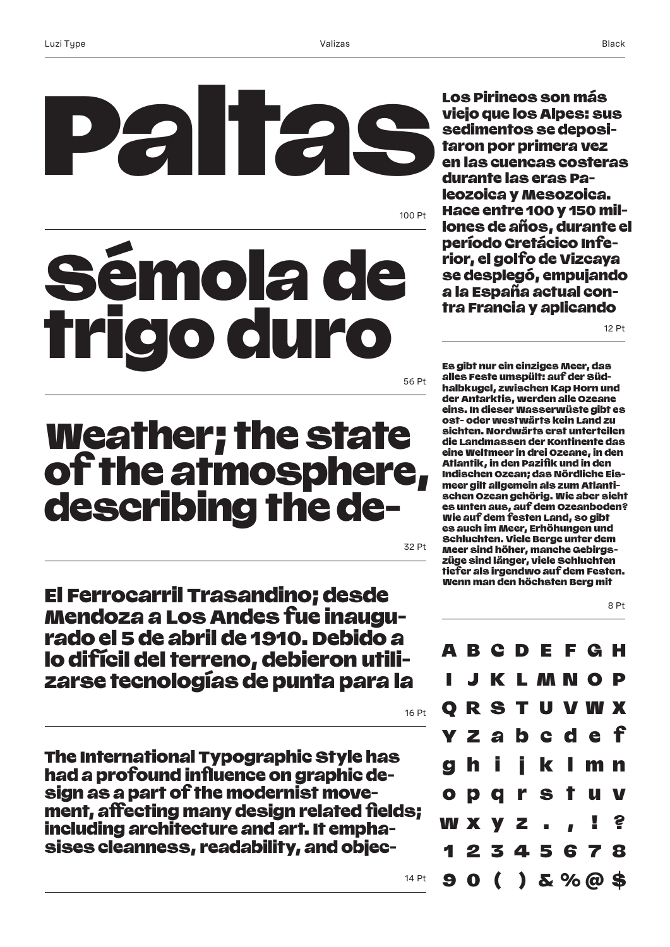## 100 Pt Paltas nola d **du**

56 Pt

### Weather; the state of the atmosphere, describing the de-

32 Pt

16 Pt

14 Pt

El Ferrocarril Trasandino; desde Mendoza a Los Andes fue inaugurado el 5 de abril de 1910. Debido a lo difícil del terreno, debieron utilizarse tecnologías de punta para la

The International Typographic Style has had a profound influence on graphic design as a part of the modernist movement, affecting many design related fields; including architecture and art. It emphasises cleanness, readability, and objec-

Los Pirineos son más viejo que los Alpes: sus sedimentos se depositaron por primera vez en las cuencas costeras durante las eras Paleozoica y Mesozoica. Hace entre 100 y 150 millones de años, durante el período Cretácico Inferior, el golfo de Vizcaya se desplegó, empujando a la España actual contra Francia y aplicando

12 Pt

Es gibt nur ein einziges Meer, das alles Feste umspült: auf der Südhalbkugel, zwischen Kap Horn und der Antarktis, werden alle Ozeane eins. In dieser Wasserwüste gibt es ost- oder westwärts kein Land zu sichten. Nordwärts erst unterteilen die Landmassen der Kontinente das eine Weltmeer in drei Ozeane, in den Atlantik, in den Pazifik und in den Indischen Ozean; das Nördliche Eismeer gilt allgemein als zum Atlantischen Ozean gehörig. Wie aber sieht es unten aus, auf dem Ozeanboden? Wie auf dem festen Land, so gibt es auch im Meer, Erhöhungen und Schluchten. Viele Berge unter dem Meer sind höher, manche Gebirgszüge sind länger, viele Schluchten tiefer als irgendwo auf dem Festen. Wenn man den höchsten Berg mit

8 Pt

G H MNO P Q R S T U V W X a b c d e g h i j k l m n o p q r s t u v w x y z . , ! ? 1 2 3 4 5 6 7 8 9 0 ( ) & % @ \$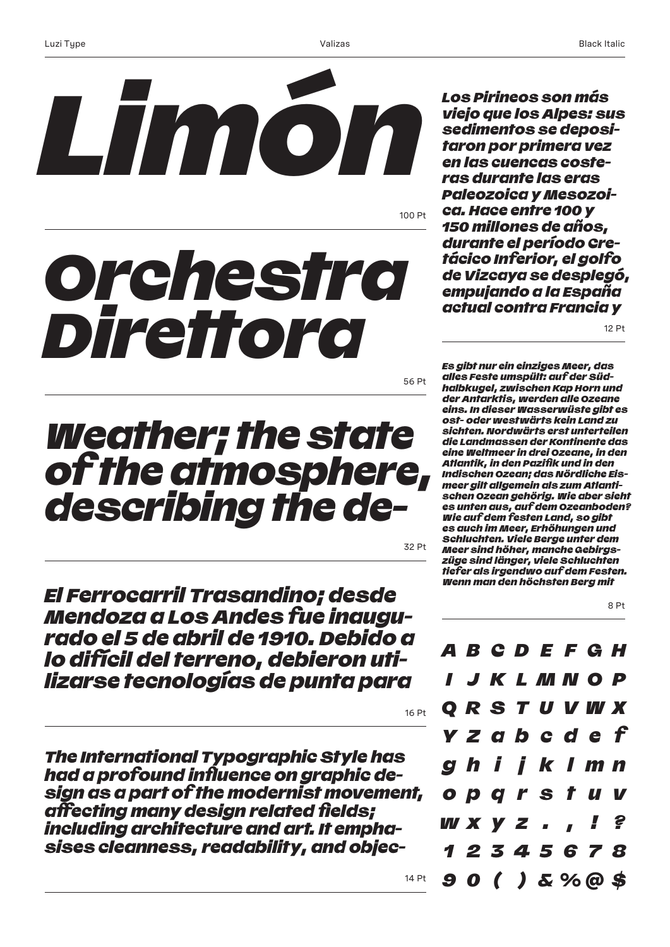

100 Pt

## *Orchestra Direttora*

56 Pt

### *Weather; the state of the atmosphere, describing the de-*

32 Pt

16 Pt

14 Pt

*El Ferrocarril Trasandino; desde Mendoza a Los Andes fue inaugurado el 5 de abril de 1910. Debido a lo difícil del terreno, debieron utilizarse tecnologías de punta para* 

*The International Typographic Style has had a profound influence on graphic design as a part of the modernist movement, affecting many design related fields; including architecture and art. It emphasises cleanness, readability, and objec-* Black Italic

*Los Pirineos son más viejo que los Alpes: sus sedimentos se depositaron por primera vez en las cuencas costeras durante las eras Paleozoica y Mesozoica. Hace entre 100 y 150 millones de años, durante el período Cretácico Inferior, el golfo de Vizcaya se desplegó, empujando a la España actual contra Francia y* 

12 Pt

*Es gibt nur ein einziges Meer, das alles Feste umspült: auf der Südhalbkugel, zwischen Kap Horn und der Antarktis, werden alle Ozeane eins. In dieser Wasserwüste gibt es ost- oder westwärts kein Land zu sichten. Nordwärts erst unterteilen die Landmassen der Kontinente das eine Weltmeer in drei Ozeane, in den Atlantik, in den Pazifik und in den Indischen Ozean; das Nördliche Eismeer gilt allgemein als zum Atlantischen Ozean gehörig. Wie aber sieht es unten aus, auf dem Ozeanboden? Wie auf dem festen Land, so gibt es auch im Meer, Erhöhungen und Schluchten. Viele Berge unter dem Meer sind höher, manche Gebirgszüge sind länger, viele Schluchten tiefer als irgendwo auf dem Festen. Wenn man den höchsten Berg mit* 

8 Pt

*A B C D E F G H I J K L M N O P Q R S T U V W X Y Z a b c d e f g h i j k l m n o p q r s t u v w x y z . , ! ? 1 2 3 4 5 6 7 8 9 0 ( ) & % @ \$*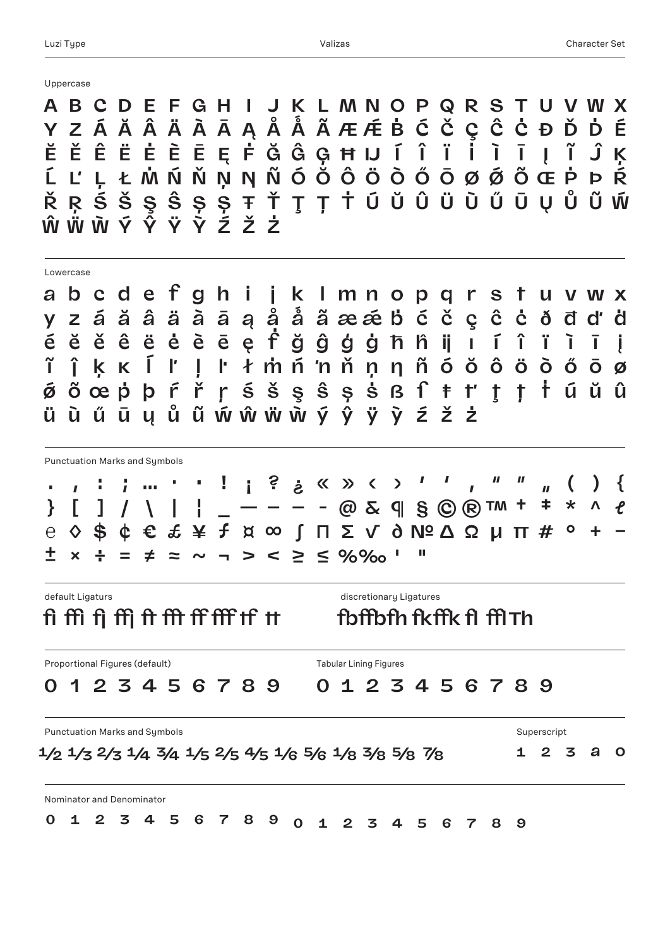|  |  | Unnercase |
|--|--|-----------|

**A B C D E F G H I J K L M N O P Q R S T U V W X Ŵ Ẅ Ẁ Ý Ŷ Ÿ Ỳ Ź Ž Ż Y Z Á Ă Â Ä À Ā Ą Å Ǻ Ã Æ Ǽ Ḃ Ć Č Ç Ĉ Ċ Ð Ď Ḋ É Ĕ Ě Ê Ë Ė È Ē Ę Ḟ Ğ Ĝ Ģ Ħ IJ Í Î Ï İ Ì Ī Į Ĩ Ĵ Ķ Ĺ Ľ Ļ Ł Ṁ Ń Ň Ņ Ŋ Ñ Ó Ŏ Ô Ö Ò Ő Ō Ø Ǿ Õ Œ Ṗ Þ Ŕ Ř Ŗ Ś Š Ş Ŝ Ș Ș Ŧ Ť Ţ Ț Ṫ Ú Ŭ Û Ü Ù Ű Ū Ų Ů Ũ Ẃ fi ffi fj ffj ft fft ff fff tf tt fbffbfh fkffkfl fflTh a b c d e f g h i j k l m n o p q r s t u v w x**  $\hat{c}$   $\dot{c}$   $\delta$   $\vec{d}$   $d'$ **ñ ķ ĸ ø ö ŏ ĩ ő ó ò ô ĵ ō ŀ ł ņ ń 'n ṁ ň ŋ š ṡ ß ſ ŝ õ ú ş ǿ ṫ ș œ ŭ ṗ û ŗ ř ś ů ÿ ẅ ẃ ý ũ ỳ ẁ ŵ ŷ ū ű ų è ě ī é ę ë ē ê į ĕ ì ḟ ė ț ľ ĺ ź ť ŧ ḋ ļ ž ţ ğ ģ ġ ĝ ħ ż ŕ þ ù ü y z á ă â ä à ā ą å ǻ ã æ ǽ ḃ ć č ç ĉ ċ ð đ ĥ ij ı í î ï . , : ; … · • ! ¡ ? ¿ « » ‹ › ' ' ' " " " ( } \ ) [ ] | ¦ { / \_ — – – - @ & ¶ § © ® ™ † ℮ ‡ \$ ^ ◊ \* ¢ € £ ¥ ƒ ¤ ∞ ∫ ∏ ∑ √ ∂ № Δ Ω μ π # ° + − ℓ ± × ÷ = ≠ ≈ ~ ¬ > < ≥ ≤ %‰ ' " 0 1 2 3 4 5 6 7 8 9 0 1 2 3 4 5 6 7 8 9 ½ ⅓⅔¼ ¾ ⅕ ⅖ ⅘ ⅙ ⅚ ⅛ ⅜ ⅝ ⅞ ¹ ² ³ ª º 0 1 2 3 4 5 6 7 8 9 0 1 2 3 4 5 6 7 8 9** Uppercase Lowercase Punctuation Marks and Symbols default Ligaturs default Ligatures Punctuation Marks and Symbols Superscript Superscript Superscript Superscript Superscript Superscript Superscript Proportional Figures (default) Nominator and Denominator Tabular Lining Figures